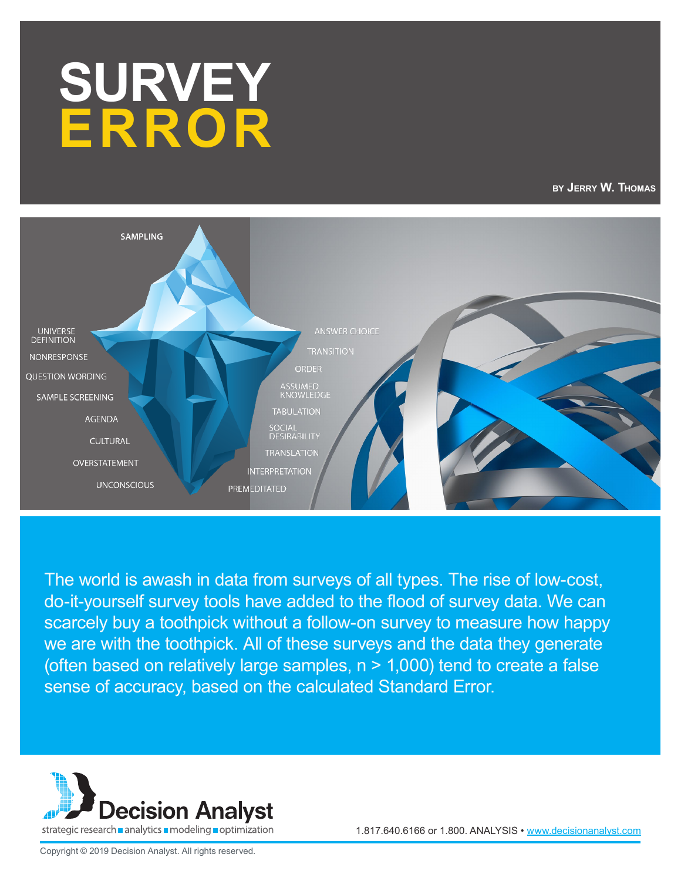# **SURVEY ERROR**

**by Jerry W. Thomas**



The world is awash in data from surveys of all types. The rise of low-cost, do-it-yourself survey tools have added to the flood of survey data. We can scarcely buy a toothpick without a follow-on survey to measure how happy we are with the toothpick. All of these surveys and the data they generate (often based on relatively large samples, n > 1,000) tend to create a false sense of accuracy, based on the calculated Standard Error.



1.817.640.6166 or 1.800. ANALYSIS • www.decisionanalyst.com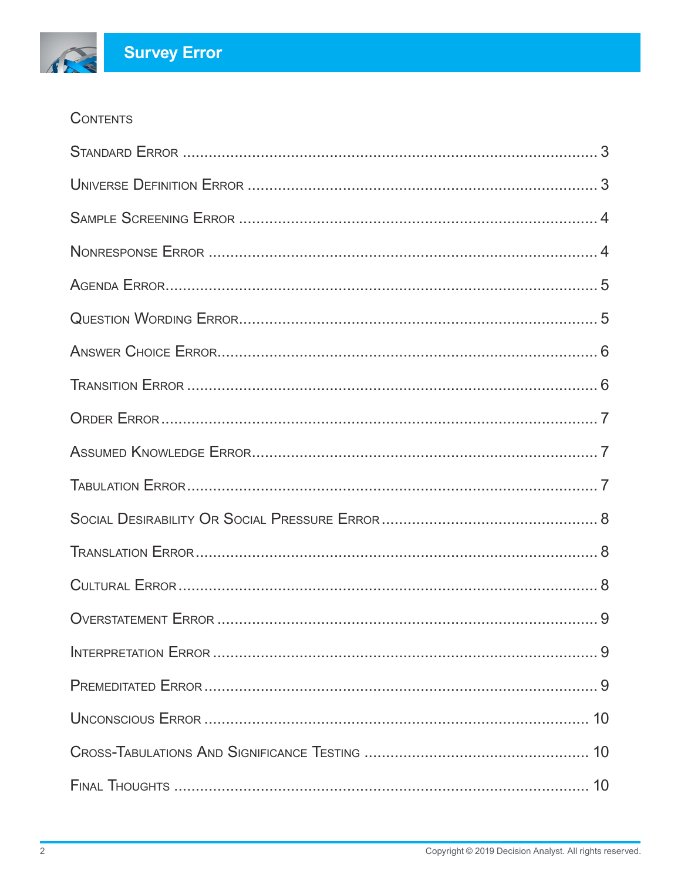#### **CONTENTS**

RE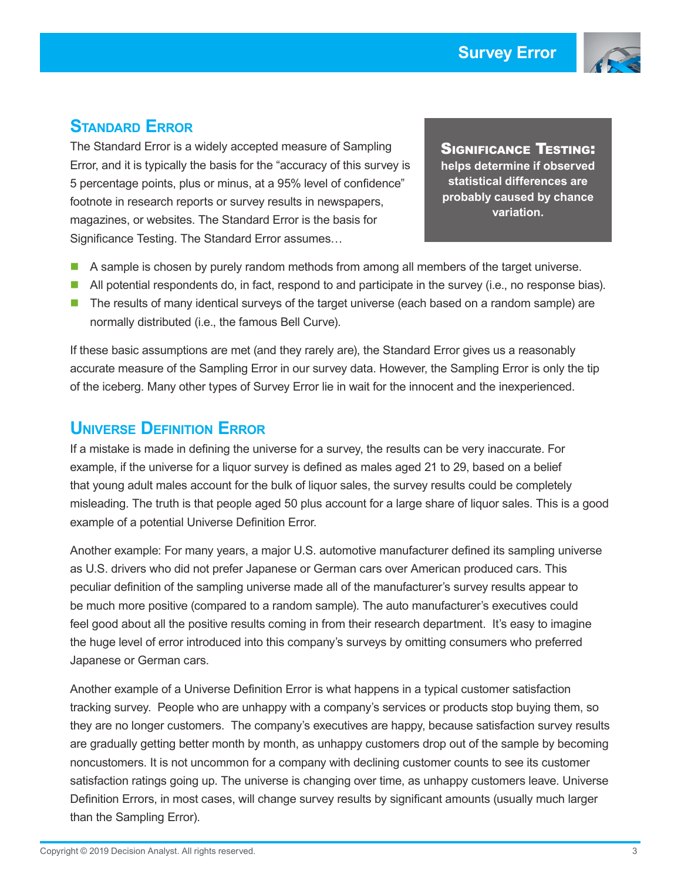

#### **Standard Error**

The Standard Error is a widely accepted measure of Sampling Error, and it is typically the basis for the "accuracy of this survey is 5 percentage points, plus or minus, at a 95% level of confidence" footnote in research reports or survey results in newspapers, magazines, or websites. The Standard Error is the basis for Significance Testing. The Standard Error assumes…

Significance Testing: **helps determine if observed statistical differences are probably caused by chance variation.**

- A sample is chosen by purely random methods from among all members of the target universe.
- **All potential respondents do, in fact, respond to and participate in the survey (i.e., no response bias).**
- **The results of many identical surveys of the target universe (each based on a random sample) are** normally distributed (i.e., the famous Bell Curve).

If these basic assumptions are met (and they rarely are), the Standard Error gives us a reasonably accurate measure of the Sampling Error in our survey data. However, the Sampling Error is only the tip of the iceberg. Many other types of Survey Error lie in wait for the innocent and the inexperienced.

#### **Universe Definition Error**

If a mistake is made in defining the universe for a survey, the results can be very inaccurate. For example, if the universe for a liquor survey is defined as males aged 21 to 29, based on a belief that young adult males account for the bulk of liquor sales, the survey results could be completely misleading. The truth is that people aged 50 plus account for a large share of liquor sales. This is a good example of a potential Universe Definition Error.

Another example: For many years, a major U.S. automotive manufacturer defined its sampling universe as U.S. drivers who did not prefer Japanese or German cars over American produced cars. This peculiar definition of the sampling universe made all of the manufacturer's survey results appear to be much more positive (compared to a random sample). The auto manufacturer's executives could feel good about all the positive results coming in from their research department. It's easy to imagine the huge level of error introduced into this company's surveys by omitting consumers who preferred Japanese or German cars.

Another example of a Universe Definition Error is what happens in a typical customer satisfaction tracking survey. People who are unhappy with a company's services or products stop buying them, so they are no longer customers. The company's executives are happy, because satisfaction survey results are gradually getting better month by month, as unhappy customers drop out of the sample by becoming noncustomers. It is not uncommon for a company with declining customer counts to see its customer satisfaction ratings going up. The universe is changing over time, as unhappy customers leave. Universe Definition Errors, in most cases, will change survey results by significant amounts (usually much larger than the Sampling Error).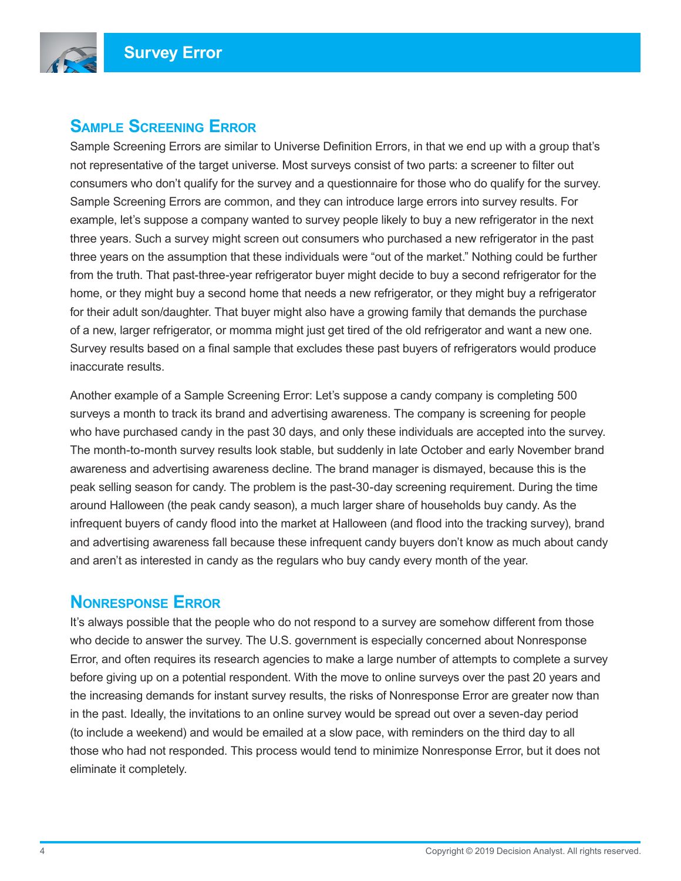

#### **Sample Screening Error**

Sample Screening Errors are similar to Universe Definition Errors, in that we end up with a group that's not representative of the target universe. Most surveys consist of two parts: a screener to filter out consumers who don't qualify for the survey and a questionnaire for those who do qualify for the survey. Sample Screening Errors are common, and they can introduce large errors into survey results. For example, let's suppose a company wanted to survey people likely to buy a new refrigerator in the next three years. Such a survey might screen out consumers who purchased a new refrigerator in the past three years on the assumption that these individuals were "out of the market." Nothing could be further from the truth. That past-three-year refrigerator buyer might decide to buy a second refrigerator for the home, or they might buy a second home that needs a new refrigerator, or they might buy a refrigerator for their adult son/daughter. That buyer might also have a growing family that demands the purchase of a new, larger refrigerator, or momma might just get tired of the old refrigerator and want a new one. Survey results based on a final sample that excludes these past buyers of refrigerators would produce inaccurate results.

Another example of a Sample Screening Error: Let's suppose a candy company is completing 500 surveys a month to track its brand and advertising awareness. The company is screening for people who have purchased candy in the past 30 days, and only these individuals are accepted into the survey. The month-to-month survey results look stable, but suddenly in late October and early November brand awareness and advertising awareness decline. The brand manager is dismayed, because this is the peak selling season for candy. The problem is the past-30-day screening requirement. During the time around Halloween (the peak candy season), a much larger share of households buy candy. As the infrequent buyers of candy flood into the market at Halloween (and flood into the tracking survey), brand and advertising awareness fall because these infrequent candy buyers don't know as much about candy and aren't as interested in candy as the regulars who buy candy every month of the year.

#### **Nonresponse Error**

It's always possible that the people who do not respond to a survey are somehow different from those who decide to answer the survey. The U.S. government is especially concerned about Nonresponse Error, and often requires its research agencies to make a large number of attempts to complete a survey before giving up on a potential respondent. With the move to online surveys over the past 20 years and the increasing demands for instant survey results, the risks of Nonresponse Error are greater now than in the past. Ideally, the invitations to an online survey would be spread out over a seven-day period (to include a weekend) and would be emailed at a slow pace, with reminders on the third day to all those who had not responded. This process would tend to minimize Nonresponse Error, but it does not eliminate it completely.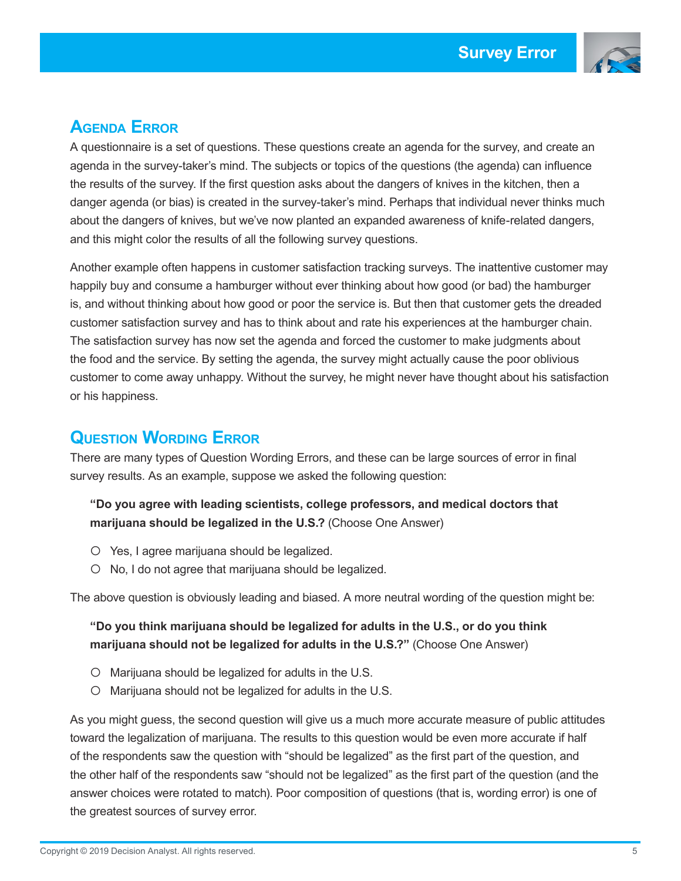

# **Agenda Error**

A questionnaire is a set of questions. These questions create an agenda for the survey, and create an agenda in the survey-taker's mind. The subjects or topics of the questions (the agenda) can influence the results of the survey. If the first question asks about the dangers of knives in the kitchen, then a danger agenda (or bias) is created in the survey-taker's mind. Perhaps that individual never thinks much about the dangers of knives, but we've now planted an expanded awareness of knife-related dangers, and this might color the results of all the following survey questions.

Another example often happens in customer satisfaction tracking surveys. The inattentive customer may happily buy and consume a hamburger without ever thinking about how good (or bad) the hamburger is, and without thinking about how good or poor the service is. But then that customer gets the dreaded customer satisfaction survey and has to think about and rate his experiences at the hamburger chain. The satisfaction survey has now set the agenda and forced the customer to make judgments about the food and the service. By setting the agenda, the survey might actually cause the poor oblivious customer to come away unhappy. Without the survey, he might never have thought about his satisfaction or his happiness.

#### **Question Wording Error**

There are many types of Question Wording Errors, and these can be large sources of error in final survey results. As an example, suppose we asked the following question:

#### **"Do you agree with leading scientists, college professors, and medical doctors that marijuana should be legalized in the U.S.?** (Choose One Answer)

- $\circ$  Yes, I agree marijuana should be legalized.
- $\circ$  No, I do not agree that marijuana should be legalized.

The above question is obviously leading and biased. A more neutral wording of the question might be:

#### **"Do you think marijuana should be legalized for adults in the U.S., or do you think marijuana should not be legalized for adults in the U.S.?"** (Choose One Answer)

- c Marijuana should be legalized for adults in the U.S.
- c Marijuana should not be legalized for adults in the U.S.

As you might guess, the second question will give us a much more accurate measure of public attitudes toward the legalization of marijuana. The results to this question would be even more accurate if half of the respondents saw the question with "should be legalized" as the first part of the question, and the other half of the respondents saw "should not be legalized" as the first part of the question (and the answer choices were rotated to match). Poor composition of questions (that is, wording error) is one of the greatest sources of survey error.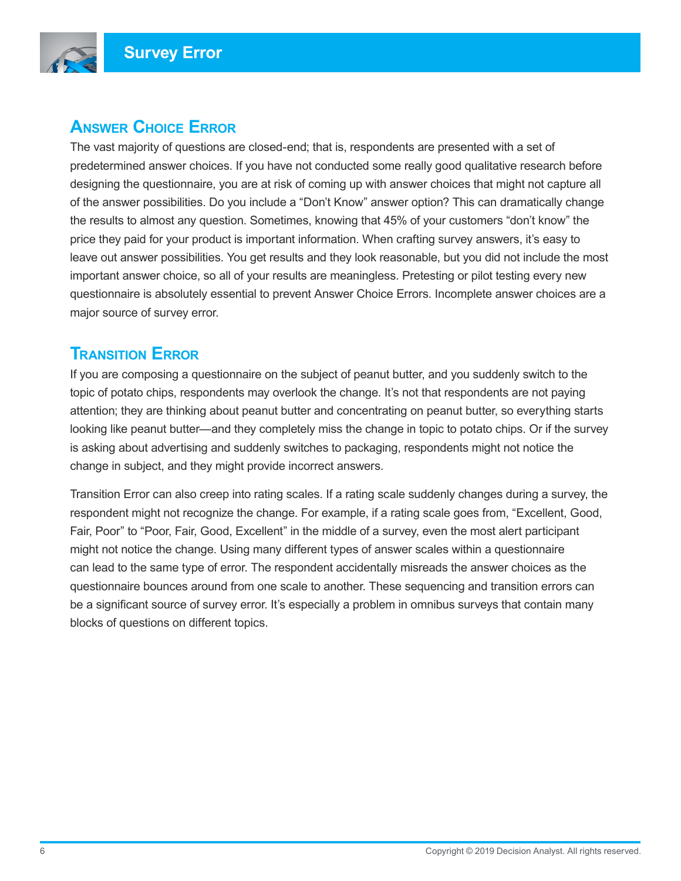

## **Answer Choice Error**

The vast majority of questions are closed-end; that is, respondents are presented with a set of predetermined answer choices. If you have not conducted some really good qualitative research before designing the questionnaire, you are at risk of coming up with answer choices that might not capture all of the answer possibilities. Do you include a "Don't Know" answer option? This can dramatically change the results to almost any question. Sometimes, knowing that 45% of your customers "don't know" the price they paid for your product is important information. When crafting survey answers, it's easy to leave out answer possibilities. You get results and they look reasonable, but you did not include the most important answer choice, so all of your results are meaningless. Pretesting or pilot testing every new questionnaire is absolutely essential to prevent Answer Choice Errors. Incomplete answer choices are a major source of survey error.

#### **Transition Error**

If you are composing a questionnaire on the subject of peanut butter, and you suddenly switch to the topic of potato chips, respondents may overlook the change. It's not that respondents are not paying attention; they are thinking about peanut butter and concentrating on peanut butter, so everything starts looking like peanut butter—and they completely miss the change in topic to potato chips. Or if the survey is asking about advertising and suddenly switches to packaging, respondents might not notice the change in subject, and they might provide incorrect answers.

Transition Error can also creep into rating scales. If a rating scale suddenly changes during a survey, the respondent might not recognize the change. For example, if a rating scale goes from, "Excellent, Good, Fair, Poor" to "Poor, Fair, Good, Excellent" in the middle of a survey, even the most alert participant might not notice the change. Using many different types of answer scales within a questionnaire can lead to the same type of error. The respondent accidentally misreads the answer choices as the questionnaire bounces around from one scale to another. These sequencing and transition errors can be a significant source of survey error. It's especially a problem in omnibus surveys that contain many blocks of questions on different topics.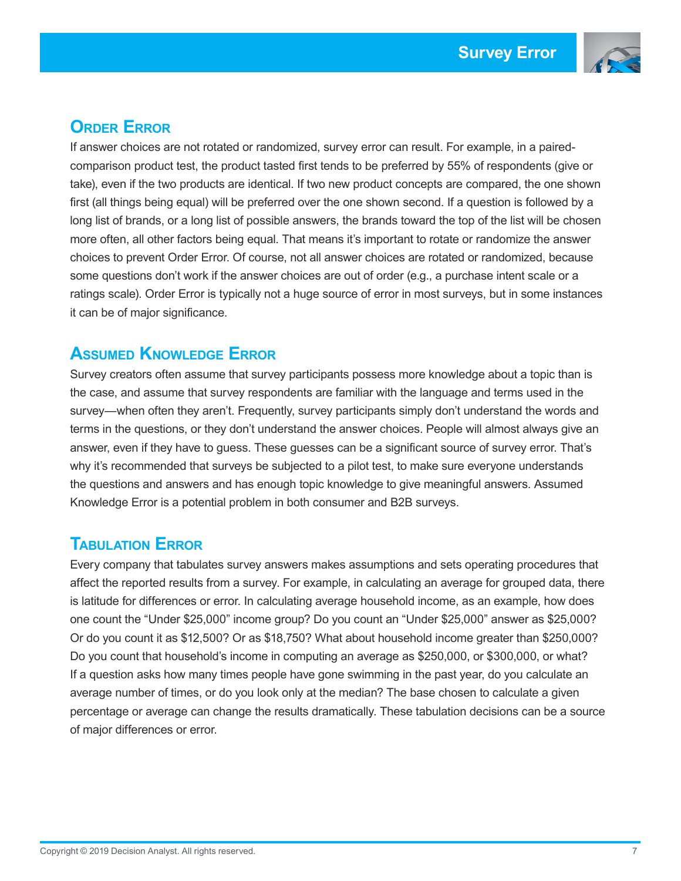

# **Order Error**

If answer choices are not rotated or randomized, survey error can result. For example, in a pairedcomparison product test, the product tasted first tends to be preferred by 55% of respondents (give or take), even if the two products are identical. If two new product concepts are compared, the one shown first (all things being equal) will be preferred over the one shown second. If a question is followed by a long list of brands, or a long list of possible answers, the brands toward the top of the list will be chosen more often, all other factors being equal. That means it's important to rotate or randomize the answer choices to prevent Order Error. Of course, not all answer choices are rotated or randomized, because some questions don't work if the answer choices are out of order (e.g., a purchase intent scale or a ratings scale). Order Error is typically not a huge source of error in most surveys, but in some instances it can be of major significance.

#### **Assumed Knowledge Error**

Survey creators often assume that survey participants possess more knowledge about a topic than is the case, and assume that survey respondents are familiar with the language and terms used in the survey—when often they aren't. Frequently, survey participants simply don't understand the words and terms in the questions, or they don't understand the answer choices. People will almost always give an answer, even if they have to guess. These guesses can be a significant source of survey error. That's why it's recommended that surveys be subjected to a pilot test, to make sure everyone understands the questions and answers and has enough topic knowledge to give meaningful answers. Assumed Knowledge Error is a potential problem in both consumer and B2B surveys.

## **Tabulation Error**

Every company that tabulates survey answers makes assumptions and sets operating procedures that affect the reported results from a survey. For example, in calculating an average for grouped data, there is latitude for differences or error. In calculating average household income, as an example, how does one count the "Under \$25,000" income group? Do you count an "Under \$25,000" answer as \$25,000? Or do you count it as \$12,500? Or as \$18,750? What about household income greater than \$250,000? Do you count that household's income in computing an average as \$250,000, or \$300,000, or what? If a question asks how many times people have gone swimming in the past year, do you calculate an average number of times, or do you look only at the median? The base chosen to calculate a given percentage or average can change the results dramatically. These tabulation decisions can be a source of major differences or error.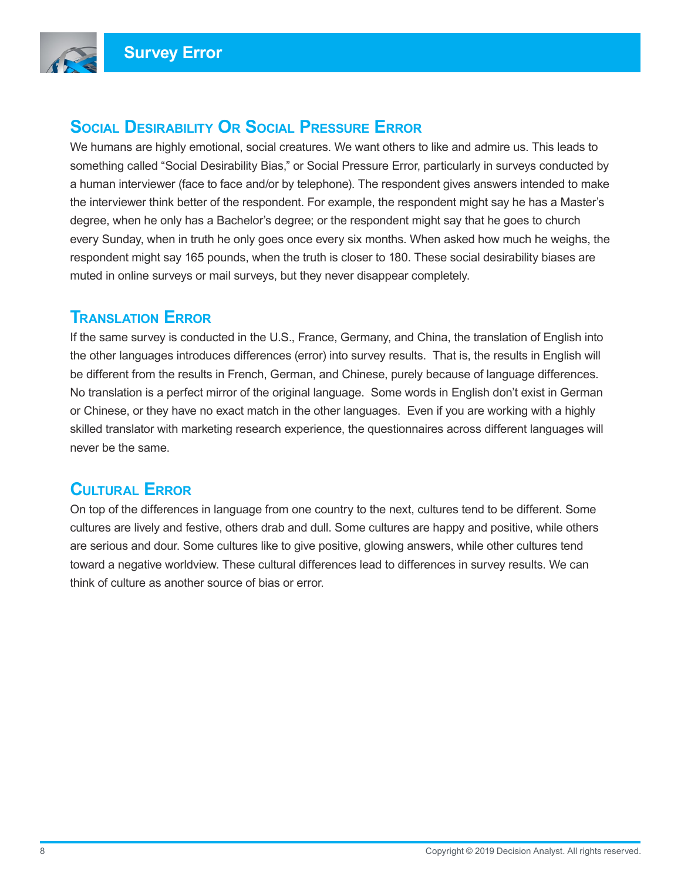

# **Social Desirability Or Social Pressure Error**

We humans are highly emotional, social creatures. We want others to like and admire us. This leads to something called "Social Desirability Bias," or Social Pressure Error, particularly in surveys conducted by a human interviewer (face to face and/or by telephone). The respondent gives answers intended to make the interviewer think better of the respondent. For example, the respondent might say he has a Master's degree, when he only has a Bachelor's degree; or the respondent might say that he goes to church every Sunday, when in truth he only goes once every six months. When asked how much he weighs, the respondent might say 165 pounds, when the truth is closer to 180. These social desirability biases are muted in online surveys or mail surveys, but they never disappear completely.

#### **Translation Error**

If the same survey is conducted in the U.S., France, Germany, and China, the translation of English into the other languages introduces differences (error) into survey results. That is, the results in English will be different from the results in French, German, and Chinese, purely because of language differences. No translation is a perfect mirror of the original language. Some words in English don't exist in German or Chinese, or they have no exact match in the other languages. Even if you are working with a highly skilled translator with marketing research experience, the questionnaires across different languages will never be the same.

## **Cultural Error**

On top of the differences in language from one country to the next, cultures tend to be different. Some cultures are lively and festive, others drab and dull. Some cultures are happy and positive, while others are serious and dour. Some cultures like to give positive, glowing answers, while other cultures tend toward a negative worldview. These cultural differences lead to differences in survey results. We can think of culture as another source of bias or error.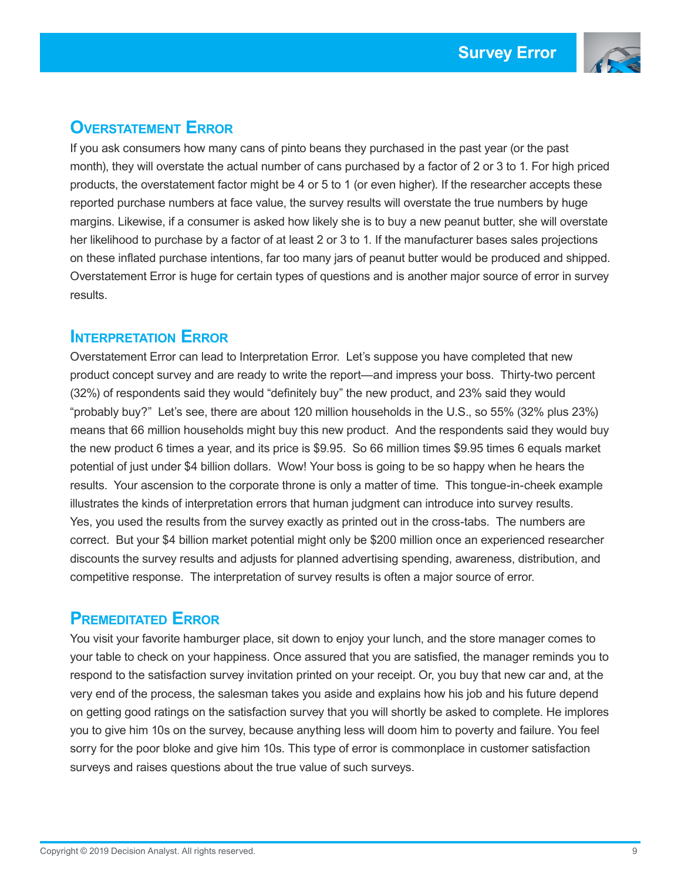

# **Overstatement Error**

If you ask consumers how many cans of pinto beans they purchased in the past year (or the past month), they will overstate the actual number of cans purchased by a factor of 2 or 3 to 1. For high priced products, the overstatement factor might be 4 or 5 to 1 (or even higher). If the researcher accepts these reported purchase numbers at face value, the survey results will overstate the true numbers by huge margins. Likewise, if a consumer is asked how likely she is to buy a new peanut butter, she will overstate her likelihood to purchase by a factor of at least 2 or 3 to 1. If the manufacturer bases sales projections on these inflated purchase intentions, far too many jars of peanut butter would be produced and shipped. Overstatement Error is huge for certain types of questions and is another major source of error in survey results.

#### **Interpretation Error**

Overstatement Error can lead to Interpretation Error. Let's suppose you have completed that new product concept survey and are ready to write the report—and impress your boss. Thirty-two percent (32%) of respondents said they would "definitely buy" the new product, and 23% said they would "probably buy?" Let's see, there are about 120 million households in the U.S., so 55% (32% plus 23%) means that 66 million households might buy this new product. And the respondents said they would buy the new product 6 times a year, and its price is \$9.95. So 66 million times \$9.95 times 6 equals market potential of just under \$4 billion dollars. Wow! Your boss is going to be so happy when he hears the results. Your ascension to the corporate throne is only a matter of time. This tongue-in-cheek example illustrates the kinds of interpretation errors that human judgment can introduce into survey results. Yes, you used the results from the survey exactly as printed out in the cross-tabs. The numbers are correct. But your \$4 billion market potential might only be \$200 million once an experienced researcher discounts the survey results and adjusts for planned advertising spending, awareness, distribution, and competitive response. The interpretation of survey results is often a major source of error.

#### **Premeditated Error**

You visit your favorite hamburger place, sit down to enjoy your lunch, and the store manager comes to your table to check on your happiness. Once assured that you are satisfied, the manager reminds you to respond to the satisfaction survey invitation printed on your receipt. Or, you buy that new car and, at the very end of the process, the salesman takes you aside and explains how his job and his future depend on getting good ratings on the satisfaction survey that you will shortly be asked to complete. He implores you to give him 10s on the survey, because anything less will doom him to poverty and failure. You feel sorry for the poor bloke and give him 10s. This type of error is commonplace in customer satisfaction surveys and raises questions about the true value of such surveys.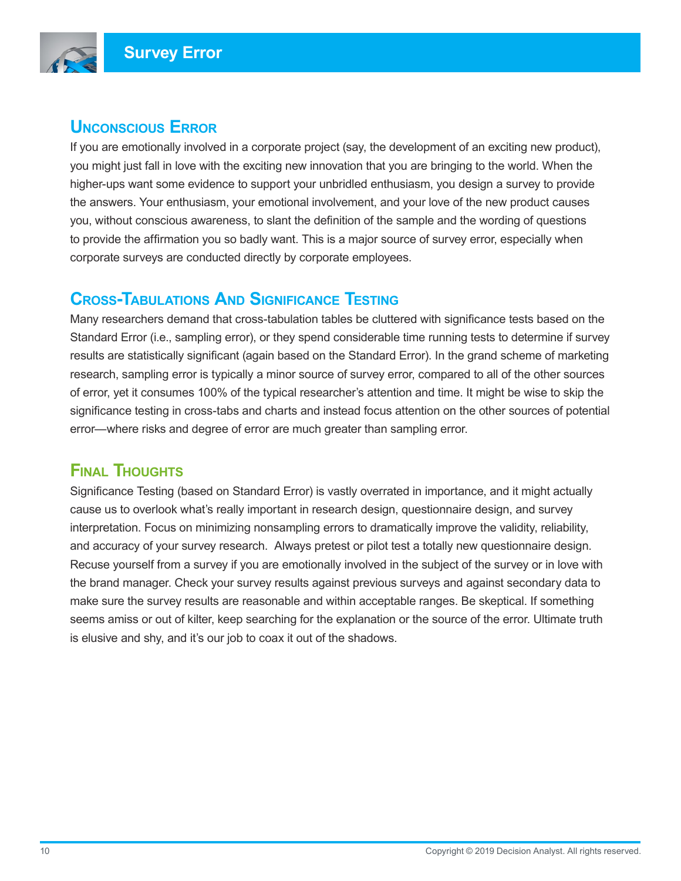

## **Unconscious Error**

If you are emotionally involved in a corporate project (say, the development of an exciting new product), you might just fall in love with the exciting new innovation that you are bringing to the world. When the higher-ups want some evidence to support your unbridled enthusiasm, you design a survey to provide the answers. Your enthusiasm, your emotional involvement, and your love of the new product causes you, without conscious awareness, to slant the definition of the sample and the wording of questions to provide the affirmation you so badly want. This is a major source of survey error, especially when corporate surveys are conducted directly by corporate employees.

#### **Cross-Tabulations And Significance Testing**

Many researchers demand that cross-tabulation tables be cluttered with significance tests based on the Standard Error (i.e., sampling error), or they spend considerable time running tests to determine if survey results are statistically significant (again based on the Standard Error). In the grand scheme of marketing research, sampling error is typically a minor source of survey error, compared to all of the other sources of error, yet it consumes 100% of the typical researcher's attention and time. It might be wise to skip the significance testing in cross-tabs and charts and instead focus attention on the other sources of potential error—where risks and degree of error are much greater than sampling error.

# **Final Thoughts**

Significance Testing (based on Standard Error) is vastly overrated in importance, and it might actually cause us to overlook what's really important in research design, questionnaire design, and survey interpretation. Focus on minimizing nonsampling errors to dramatically improve the validity, reliability, and accuracy of your survey research. Always pretest or pilot test a totally new questionnaire design. Recuse yourself from a survey if you are emotionally involved in the subject of the survey or in love with the brand manager. Check your survey results against previous surveys and against secondary data to make sure the survey results are reasonable and within acceptable ranges. Be skeptical. If something seems amiss or out of kilter, keep searching for the explanation or the source of the error. Ultimate truth is elusive and shy, and it's our job to coax it out of the shadows.